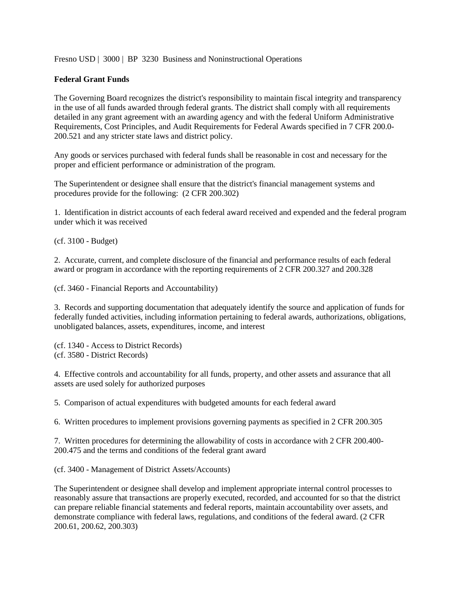Fresno USD | 3000 | BP 3230 Business and Noninstructional Operations

## **Federal Grant Funds**

The Governing Board recognizes the district's responsibility to maintain fiscal integrity and transparency in the use of all funds awarded through federal grants. The district shall comply with all requirements detailed in any grant agreement with an awarding agency and with the federal Uniform Administrative Requirements, Cost Principles, and Audit Requirements for Federal Awards specified in 7 CFR 200.0- 200.521 and any stricter state laws and district policy.

Any goods or services purchased with federal funds shall be reasonable in cost and necessary for the proper and efficient performance or administration of the program.

The Superintendent or designee shall ensure that the district's financial management systems and procedures provide for the following: (2 CFR 200.302)

1. Identification in district accounts of each federal award received and expended and the federal program under which it was received

(cf. 3100 - Budget)

2. Accurate, current, and complete disclosure of the financial and performance results of each federal award or program in accordance with the reporting requirements of 2 CFR 200.327 and 200.328

(cf. 3460 - Financial Reports and Accountability)

3. Records and supporting documentation that adequately identify the source and application of funds for federally funded activities, including information pertaining to federal awards, authorizations, obligations, unobligated balances, assets, expenditures, income, and interest

(cf. 1340 - Access to District Records) (cf. 3580 - District Records)

4. Effective controls and accountability for all funds, property, and other assets and assurance that all assets are used solely for authorized purposes

5. Comparison of actual expenditures with budgeted amounts for each federal award

6. Written procedures to implement provisions governing payments as specified in 2 CFR 200.305

7. Written procedures for determining the allowability of costs in accordance with 2 CFR 200.400- 200.475 and the terms and conditions of the federal grant award

(cf. 3400 - Management of District Assets/Accounts)

The Superintendent or designee shall develop and implement appropriate internal control processes to reasonably assure that transactions are properly executed, recorded, and accounted for so that the district can prepare reliable financial statements and federal reports, maintain accountability over assets, and demonstrate compliance with federal laws, regulations, and conditions of the federal award. (2 CFR 200.61, 200.62, 200.303)